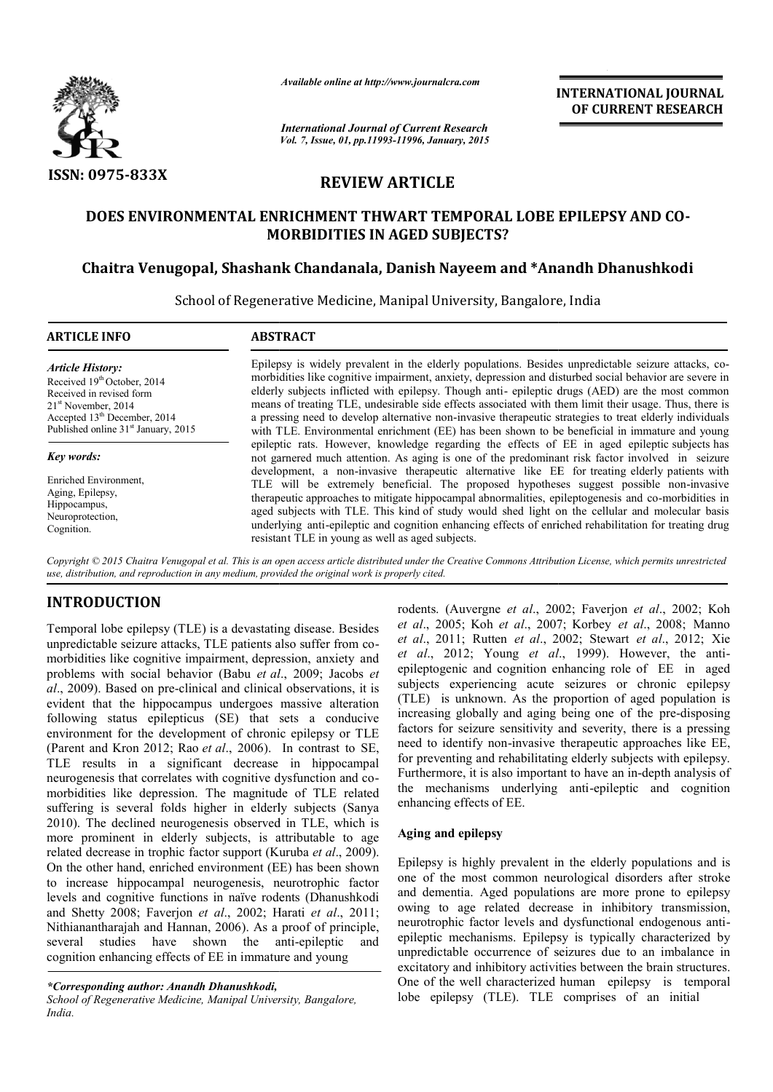

*Available online at http://www.journalcra.com*

*International Journal of Current Research Vol. 7, Issue, 01, pp.11993-11996, January, 2015* **INTERNATIONAL INTERNATIONAL JOURNAL OF CURRENT RESEARCH** 

# **REVIEW ARTICLE**

# **DOES ENVIRONMENTAL ENRI ENRICHMENT THWART TEMPORAL LOBE EPI EPILEPSY AND CO-MORBIDITIES IN AGED SUBJECTS?**

## Chaitra Venugopal, Shashank Chandanala, Danish Nayeem and \*Anandh Dhanushkodi

School of Regenerative Medicine, Manipal University, Bangalore, India 1

# **ARTICLE INFO ABSTRACT** *Article History:*

Received 19<sup>th</sup> October, 2014 Received in revised form 21<sup>st</sup> November, 2014 Accepted 13<sup>th</sup> December, 2014 Published online 31<sup>st</sup> January, 2015

*Key words:*

Enriched Environment, Aging, Epilepsy, Hippocampus, Neuroprotection, Cognition.

Epilepsy is widely prevalent in the elderly populations. Besides unpredictable seizure attacks, comorbidities like cognitive impairment, anxiety, depression and disturbed social behavior are severe in elderly subjects inflicted with epilepsy. Though anti- epileptic drugs (AED) are the most common means s of treating TLE, undesirable side effects associated with th hem limit their usage. Thus, there is a pressing need to develop alternative non-invasive therapeutic strategies to treat elderly individuals with TLE. Environmental enrichment (EE) has been shown to be beneficial in immature and young epileptic rats. However, knowledge regarding the effects of EE in aged epileptic subjects has not garnered much attention. As aging is one of the predominant risk factor involved in seizure development, a non-invasive therapeutic alternative like EE for treating elderly patients with TLE will be extremely beneficial. The proposed hypothes ses suggest possible non-invasive therap peutic approaches to mitigate hippocampal abnormalities, ep pileptogenesis and co-morbidities in aged subjects with TLE. This kind of study would shed light on the cellular and molecular basis underlying anti-epileptic and cognition enhancing effects of enriched rehabilitation for treating drug resistant TLE in young as well as aged subjects.

*Copyright © 2015 Chaitra Venugopal et al. This is an open access article distributed under the Creative Commons Att Attribution License, which ribution permits unrestricted use, distribution, and reproduction in any medium, provided the original work is properly cited.*

# **INTRODUCTION**

Temporal lobe epilepsy (TLE) is a devastating disease. Besides unpredictable seizure attacks, TLE patients a also suffer from comorbidities like cognitive impairment, depression, anxiety and problems with social behavior (Babu et al., 2009; Jacobs et al., 2009). Based on pre-clinical and clinical observations, it is evident that the hippocampus undergoes massive alteration following status epilepticus (SE) that sets a conducive environment for the development of chronic epilepsy or TLE (Parent and Kron 2012; Rao et al., 2006). In contrast to SE, TLE results in a significant decrease in hippocampal neurogenesis that correlates with cognitive dysfunction and comorbidities like depression. The magnitude of TLE related suffering is several folds higher in elderly subjects (Sanya 2010). The declined neurogenesis observed d in TLE, which is more prominent in elderly subjects, is a attributable to age related decrease in trophic factor support (K uruba *et al*., 2009). On the other hand, enriched environment (EE) has been shown to increase hippocampal neurogenesis, n neurotrophic factor levels and cognitive functions in naïve rodents (Dhanushkodi and Shetty 2008; Faverjon *et al*., 2002; Harati *et al*., 2011; Nithianantharajah and Hannan, 2006). As a proof of principle, several studies have shown the anti-epileptic and cognition enhancing effects of EE in immature and young

rodents. (Auvergne *et al.*, 2002; Faverjon *et al.*, 2002; Koh *et al*., 2005; Koh *et al*., 2007 7; Korbey *et al*., 2008; Manno *et al.*, 2011; Rutten *et al.*, 2002; Stewart *et al.*, 2012; Xie *et al*., 2012; Young *et al al*., 1999). However, the antiepileptogenic and cognition enhancing role of EE in aged subjects experiencing acute seizures or chronic epilepsy (TLE) is unknown. As the p proportion of aged population is increasing globally and aging being one of the pre-disposing factors for seizure sensitivity and severity, there is a pressing need to identify non-invasive therapeutic approaches like EE, for preventing and rehabilitating elderly subjects with epilepsy. Furthermore, it is also important to have an in-depth analysis of the mechanisms underlying anti-epileptic and cognition enhancing effects of EE.

#### **Aging and epilepsy**

Epilepsy is highly prevalent in the elderly populations and is one of the most common neurological disorders after stroke and dementia. Aged populations are more prone to epilepsy owing to age related decrease in inhibitory transmission, neurotrophic factor levels and dysfunctional endogenous antiepileptic mechanisms. Epilepsy is typically characterized by unpredictable occurrence of s seizures due to an imbalance in excitatory and inhibitory activities between the brain structures. One of the well characterized human epilepsy is temporal lobe epilepsy (TLE). TLE comprises of an initial

*<sup>\*</sup>Corresponding author: Anandh Dhanushkodi,*

*School of Regenerative Medicine, Manipal Univers rsity, Bangalore, India.*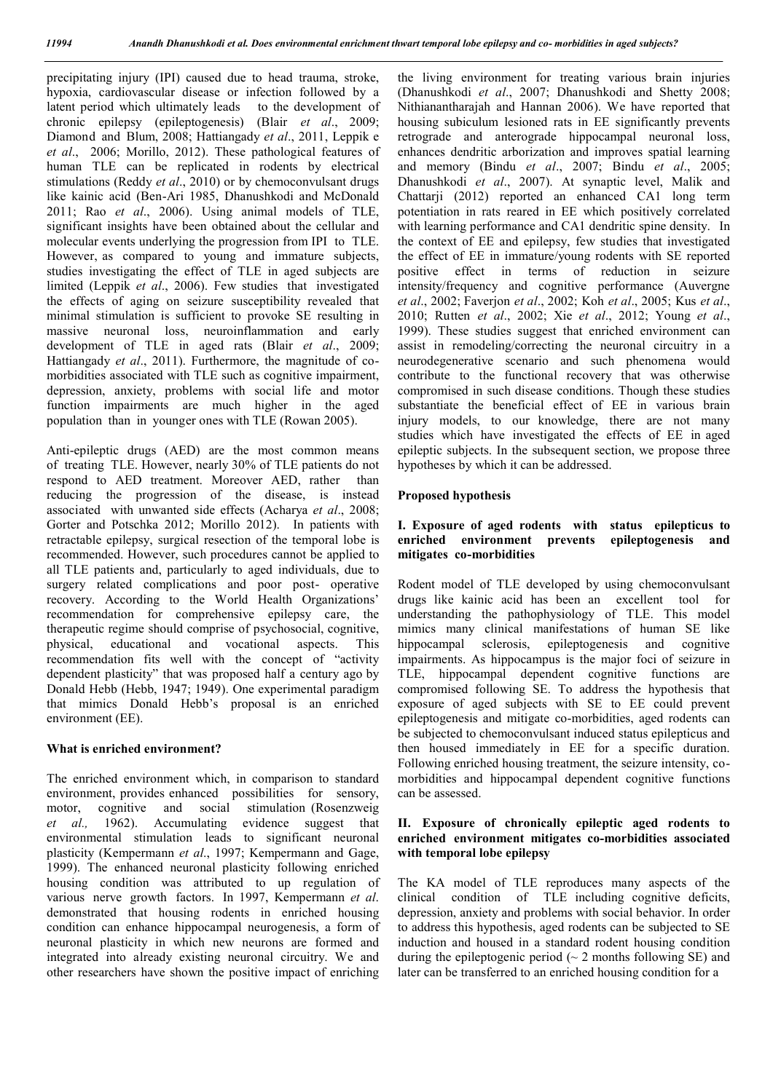precipitating injury (IPI) caused due to head trauma, stroke, hypoxia, cardiovascular disease or infection followed by a latent period which ultimately leads to the development of chronic epilepsy (epileptogenesis) (Blair *et al*., 2009; Diamond and Blum, 2008; Hattiangady *et al*., 2011, Leppik e *et al*., 2006; Morillo, 2012). These pathological features of human TLE can be replicated in rodents by electrical stimulations (Reddy *et al*., 2010) or by chemoconvulsant drugs like kainic acid (Ben-Ari 1985, Dhanushkodi and McDonald 2011; Rao *et al*., 2006). Using animal models of TLE, significant insights have been obtained about the cellular and molecular events underlying the progression from IPI to TLE. However, as compared to young and immature subjects, studies investigating the effect of TLE in aged subjects are limited (Leppik *et al*., 2006). Few studies that investigated the effects of aging on seizure susceptibility revealed that minimal stimulation is sufficient to provoke SE resulting in massive neuronal loss, neuroinflammation and early development of TLE in aged rats (Blair *et al*., 2009; Hattiangady *et al*., 2011). Furthermore, the magnitude of comorbidities associated with TLE such as cognitive impairment, depression, anxiety, problems with social life and motor function impairments are much higher in the aged population than in younger ones with TLE (Rowan 2005).

Anti-epileptic drugs (AED) are the most common means of treating TLE. However, nearly 30% of TLE patients do not respond to AED treatment. Moreover AED, rather than reducing the progression of the disease, is instead associated with unwanted side effects (Acharya *et al*., 2008; Gorter and Potschka 2012; Morillo 2012). In patients with retractable epilepsy, surgical resection of the temporal lobe is recommended. However, such procedures cannot be applied to all TLE patients and, particularly to aged individuals, due to surgery related complications and poor post- operative recovery. According to the World Health Organizations' recommendation for comprehensive epilepsy care, the therapeutic regime should comprise of psychosocial, cognitive, physical, educational and vocational aspects. This recommendation fits well with the concept of "activity dependent plasticity" that was proposed half a century ago by Donald Hebb (Hebb, 1947; 1949). One experimental paradigm that mimics Donald Hebb's proposal is an enriched environment (EE).

#### **What is enriched environment?**

The enriched environment which, in comparison to standard environment, provides enhanced possibilities for sensory, motor, cognitive and social stimulation (Rosenzweig *et al.,* 1962). Accumulating evidence suggest that environmental stimulation leads to significant neuronal plasticity (Kempermann *et al*., 1997; Kempermann and Gage, 1999). The enhanced neuronal plasticity following enriched housing condition was attributed to up regulation of various nerve growth factors. In 1997, Kempermann *et al*. demonstrated that housing rodents in enriched housing condition can enhance hippocampal neurogenesis, a form of neuronal plasticity in which new neurons are formed and integrated into already existing neuronal circuitry. We and other researchers have shown the positive impact of enriching the living environment for treating various brain injuries (Dhanushkodi *et al*., 2007; Dhanushkodi and Shetty 2008; Nithianantharajah and Hannan 2006). We have reported that housing subiculum lesioned rats in EE significantly prevents retrograde and anterograde hippocampal neuronal loss, enhances dendritic arborization and improves spatial learning and memory (Bindu *et al*., 2007; Bindu *et al*., 2005; Dhanushkodi *et al*., 2007). At synaptic level, Malik and Chattarji (2012) reported an enhanced CA1 long term potentiation in rats reared in EE which positively correlated with learning performance and CA1 dendritic spine density. In the context of EE and epilepsy, few studies that investigated the effect of EE in immature/young rodents with SE reported positive effect in terms of reduction in seizure intensity/frequency and cognitive performance (Auvergne *et al*., 2002; Faverjon *et al*., 2002; Koh *et al*., 2005; Kus *et al*., 2010; Rutten *et al*., 2002; Xie *et al*., 2012; Young *et al*., 1999). These studies suggest that enriched environment can assist in remodeling/correcting the neuronal circuitry in a neurodegenerative scenario and such phenomena would contribute to the functional recovery that was otherwise compromised in such disease conditions. Though these studies substantiate the beneficial effect of EE in various brain injury models, to our knowledge, there are not many studies which have investigated the effects of EE in aged epileptic subjects. In the subsequent section, we propose three hypotheses by which it can be addressed.

### **Proposed hypothesis**

#### **I. Exposure of aged rodents with status epilepticus to enriched environment prevents epileptogenesis and mitigates co-morbidities**

Rodent model of TLE developed by using chemoconvulsant drugs like kainic acid has been an excellent tool for understanding the pathophysiology of TLE. This model mimics many clinical manifestations of human SE like hippocampal sclerosis, epileptogenesis and cognitive impairments. As hippocampus is the major foci of seizure in TLE, hippocampal dependent cognitive functions are compromised following SE. To address the hypothesis that exposure of aged subjects with SE to EE could prevent epileptogenesis and mitigate co-morbidities, aged rodents can be subjected to chemoconvulsant induced status epilepticus and then housed immediately in EE for a specific duration. Following enriched housing treatment, the seizure intensity, comorbidities and hippocampal dependent cognitive functions can be assessed.

#### **II. Exposure of chronically epileptic aged rodents to enriched environment mitigates co-morbidities associated with temporal lobe epilepsy**

The KA model of TLE reproduces many aspects of the clinical condition of TLE including cognitive deficits, depression, anxiety and problems with social behavior. In order to address this hypothesis, aged rodents can be subjected to SE induction and housed in a standard rodent housing condition during the epileptogenic period  $($   $\sim$  2 months following SE) and later can be transferred to an enriched housing condition for a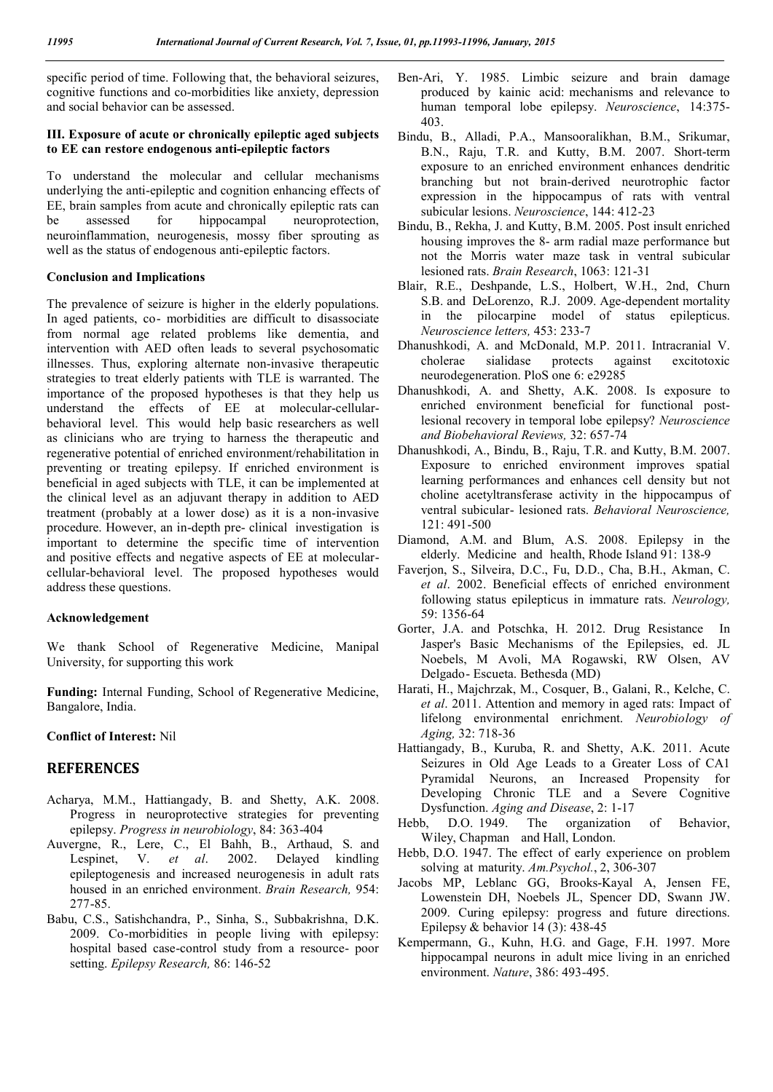specific period of time. Following that, the behavioral seizures, cognitive functions and co-morbidities like anxiety, depression and social behavior can be assessed.

#### **III. Exposure of acute or chronically epileptic aged subjects to EE can restore endogenous anti-epileptic factors**

To understand the molecular and cellular mechanisms underlying the anti-epileptic and cognition enhancing effects of EE, brain samples from acute and chronically epileptic rats can<br>be assessed for hippocampal neuroprotection, be assessed for hippocampal neuroprotection, neuroinflammation, neurogenesis, mossy fiber sprouting as well as the status of endogenous anti-epileptic factors.

#### **Conclusion and Implications**

The prevalence of seizure is higher in the elderly populations. In aged patients, co- morbidities are difficult to disassociate from normal age related problems like dementia, and intervention with AED often leads to several psychosomatic illnesses. Thus, exploring alternate non-invasive therapeutic strategies to treat elderly patients with TLE is warranted. The importance of the proposed hypotheses is that they help us understand the effects of EE at molecular-cellularbehavioral level. This would help basic researchers as well as clinicians who are trying to harness the therapeutic and regenerative potential of enriched environment/rehabilitation in preventing or treating epilepsy. If enriched environment is beneficial in aged subjects with TLE, it can be implemented at the clinical level as an adjuvant therapy in addition to AED treatment (probably at a lower dose) as it is a non-invasive procedure. However, an in-depth pre- clinical investigation is important to determine the specific time of intervention and positive effects and negative aspects of EE at molecularcellular-behavioral level. The proposed hypotheses would address these questions.

#### **Acknowledgement**

We thank School of Regenerative Medicine, Manipal University, for supporting this work

**Funding:** Internal Funding, School of Regenerative Medicine, Bangalore, India.

#### **Conflict of Interest:** Nil

#### **REFERENCES**

- Acharya, M.M., Hattiangady, B. and Shetty, A.K. 2008. Progress in neuroprotective strategies for preventing epilepsy. *Progress in neurobiology*, 84: 363-404
- Auvergne, R., Lere, C., El Bahh, B., Arthaud, S. and Lespinet, V. *et al*. 2002. Delayed kindling epileptogenesis and increased neurogenesis in adult rats housed in an enriched environment. *Brain Research,* 954: 277-85.
- Babu, C.S., Satishchandra, P., Sinha, S., Subbakrishna, D.K. 2009. Co-morbidities in people living with epilepsy: hospital based case-control study from a resource- poor setting. *Epilepsy Research,* 86: 146-52
- Ben-Ari, Y. 1985. Limbic seizure and brain damage produced by kainic acid: mechanisms and relevance to human temporal lobe epilepsy. *Neuroscience*, 14:375- 403.
- Bindu, B., Alladi, P.A., Mansooralikhan, B.M., Srikumar, B.N., Raju, T.R. and Kutty, B.M. 2007. Short-term exposure to an enriched environment enhances dendritic branching but not brain-derived neurotrophic factor expression in the hippocampus of rats with ventral subicular lesions. *Neuroscience*, 144: 412-23
- Bindu, B., Rekha, J. and Kutty, B.M. 2005. Post insult enriched housing improves the 8- arm radial maze performance but not the Morris water maze task in ventral subicular lesioned rats. *Brain Research*, 1063: 121-31
- Blair, R.E., Deshpande, L.S., Holbert, W.H., 2nd, Churn S.B. and DeLorenzo, R.J. 2009. Age-dependent mortality in the pilocarpine model of status epilepticus. *Neuroscience letters,* 453: 233-7
- Dhanushkodi, A. and McDonald, M.P. 2011. Intracranial V. cholerae sialidase protects against excitotoxic neurodegeneration. PloS one 6: e29285
- Dhanushkodi, A. and Shetty, A.K. 2008. Is exposure to enriched environment beneficial for functional postlesional recovery in temporal lobe epilepsy? *Neuroscience and Biobehavioral Reviews,* 32: 657-74
- Dhanushkodi, A., Bindu, B., Raju, T.R. and Kutty, B.M. 2007. Exposure to enriched environment improves spatial learning performances and enhances cell density but not choline acetyltransferase activity in the hippocampus of ventral subicular- lesioned rats. *Behavioral Neuroscience,* 121: 491-500
- Diamond, A.M. and Blum, A.S. 2008. Epilepsy in the elderly. Medicine and health, Rhode Island 91: 138-9
- Faverjon, S., Silveira, D.C., Fu, D.D., Cha, B.H., Akman, C. *et al*. 2002. Beneficial effects of enriched environment following status epilepticus in immature rats. *Neurology,* 59: 1356-64
- Gorter, J.A. and Potschka, H. 2012. Drug Resistance In Jasper's Basic Mechanisms of the Epilepsies, ed. JL Noebels, M Avoli, MA Rogawski, RW Olsen, AV Delgado- Escueta. Bethesda (MD)
- Harati, H., Majchrzak, M., Cosquer, B., Galani, R., Kelche, C. *et al*. 2011. Attention and memory in aged rats: Impact of lifelong environmental enrichment. *Neurobiology of Aging,* 32: 718-36
- Hattiangady, B., Kuruba, R. and Shetty, A.K. 2011. Acute Seizures in Old Age Leads to a Greater Loss of CA1 Pyramidal Neurons, an Increased Propensity for Developing Chronic TLE and a Severe Cognitive Dysfunction. *Aging and Disease*, 2: 1-17
- Hebb, D.O. 1949. The organization of Behavior, Wiley, Chapman and Hall, London.
- Hebb, D.O. 1947. The effect of early experience on problem solving at maturity. *Am.Psychol.*, 2, 306-307
- Jacobs MP, Leblanc GG, Brooks-Kayal A, Jensen FE, Lowenstein DH, Noebels JL, Spencer DD, Swann JW. 2009. Curing epilepsy: progress and future directions. Epilepsy & behavior  $14$  (3): 438-45
- Kempermann, G., Kuhn, H.G. and Gage, F.H. 1997. More hippocampal neurons in adult mice living in an enriched environment. *Nature*, 386: 493-495.